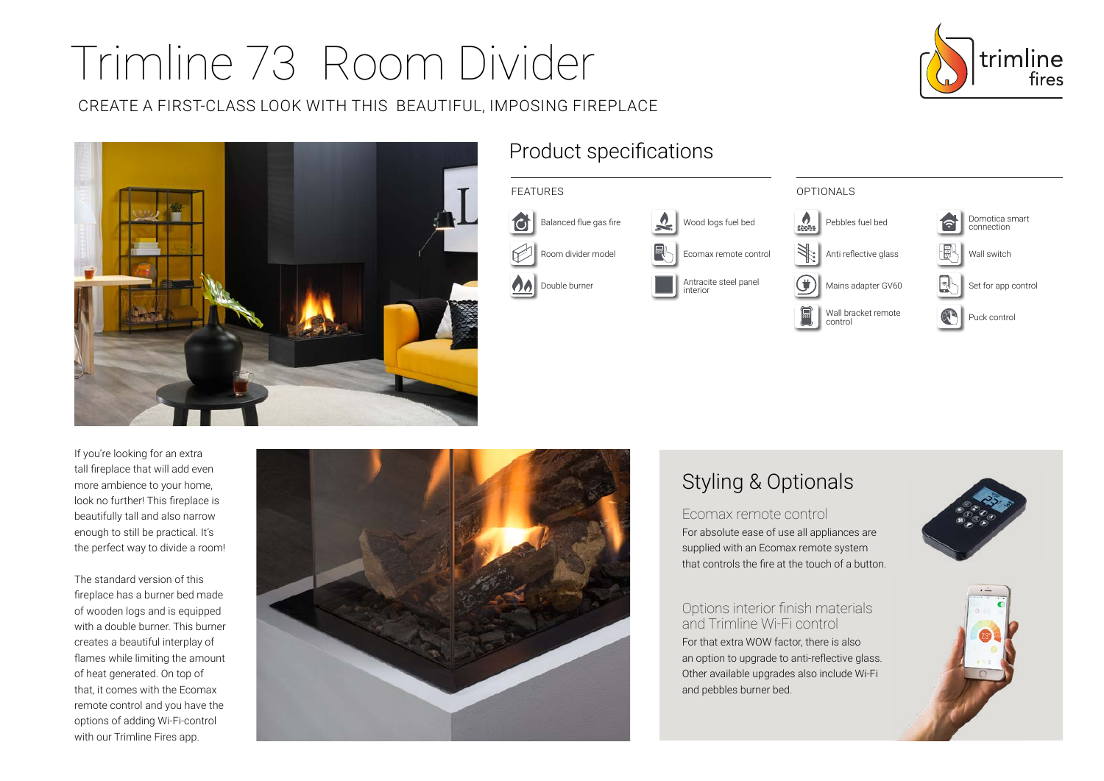# Trimline 73 Room Divider

CREATE A FIRST-CLASS LOOK WITH THIS BEAUTIFUL, IMPOSING FIREPLACE





### Product specifications



control

If you're looking for an extra tall fireplace that will add even more ambience to your home, look no further! This fireplace is beautifully tall and also narrow enough to still be practical. It's the perfect way to divide a room!

The standard version of this fireplace has a burner bed made of wooden logs and is equipped with a double burner. This burner creates a beautiful interplay of flames while limiting the amount of heat generated. On top of that, it comes with the Ecomax remote control and you have the options of adding Wi-Fi-control with our Trimline Fires app.



## Styling & Optionals

Ecomax remote control For absolute ease of use all appliances are supplied with an Ecomax remote system that controls the fire at the touch of a button.

Options interior finish materials and Trimline Wi-Fi control For that extra WOW factor, there is also an option to upgrade to anti-reflective glass. Other available upgrades also include Wi-Fi and pebbles burner bed.